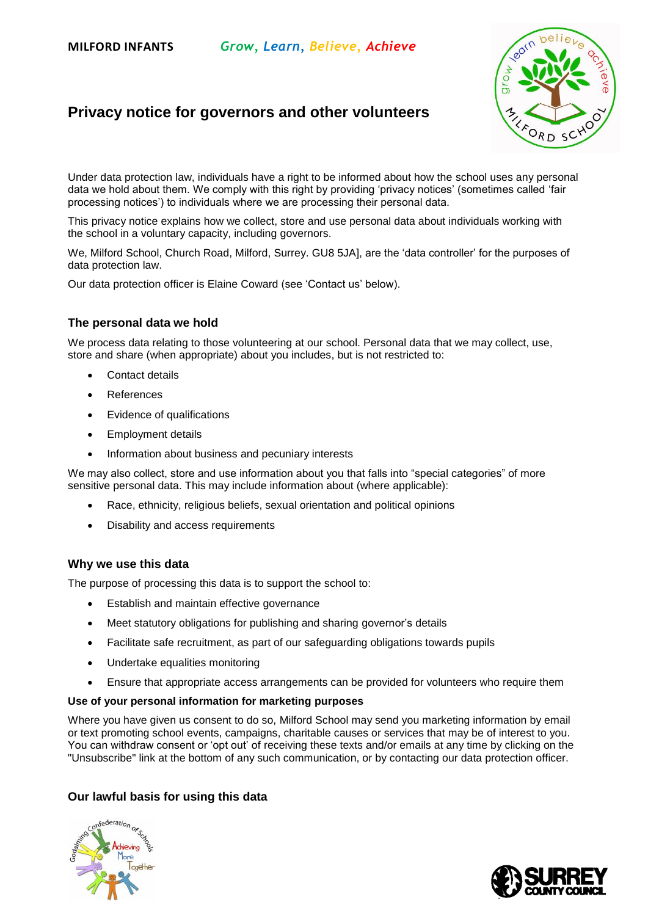# **Privacy notice for governors and other volunteers**



Under data protection law, individuals have a right to be informed about how the school uses any personal data we hold about them. We comply with this right by providing 'privacy notices' (sometimes called 'fair processing notices') to individuals where we are processing their personal data.

This privacy notice explains how we collect, store and use personal data about individuals working with the school in a voluntary capacity, including governors.

We, Milford School, Church Road, Milford, Surrey. GU8 5JA], are the 'data controller' for the purposes of data protection law.

Our data protection officer is Elaine Coward (see 'Contact us' below).

#### **The personal data we hold**

We process data relating to those volunteering at our school. Personal data that we may collect, use, store and share (when appropriate) about you includes, but is not restricted to:

- Contact details
- References
- Evidence of qualifications
- Employment details
- Information about business and pecuniary interests

We may also collect, store and use information about you that falls into "special categories" of more sensitive personal data. This may include information about (where applicable):

- Race, ethnicity, religious beliefs, sexual orientation and political opinions
- Disability and access requirements

#### **Why we use this data**

The purpose of processing this data is to support the school to:

- Establish and maintain effective governance
- Meet statutory obligations for publishing and sharing governor's details
- Facilitate safe recruitment, as part of our safeguarding obligations towards pupils
- Undertake equalities monitoring
- Ensure that appropriate access arrangements can be provided for volunteers who require them

#### **Use of your personal information for marketing purposes**

Where you have given us consent to do so, Milford School may send you marketing information by email or text promoting school events, campaigns, charitable causes or services that may be of interest to you. You can withdraw consent or 'opt out' of receiving these texts and/or emails at any time by clicking on the "Unsubscribe" link at the bottom of any such communication, or by contacting our data protection officer.

# **Our lawful basis for using this data**



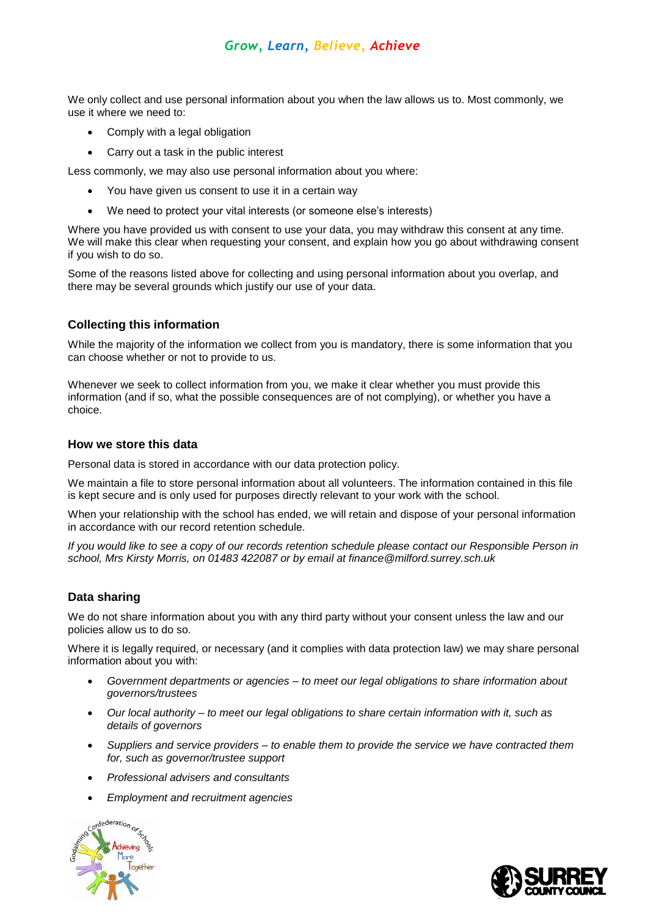# *Grow, Learn, Believe, Achieve*

We only collect and use personal information about you when the law allows us to. Most commonly, we use it where we need to:

- Comply with a legal obligation
- Carry out a task in the public interest

Less commonly, we may also use personal information about you where:

- You have given us consent to use it in a certain way
- We need to protect your vital interests (or someone else's interests)

Where you have provided us with consent to use your data, you may withdraw this consent at any time. We will make this clear when requesting your consent, and explain how you go about withdrawing consent if you wish to do so.

Some of the reasons listed above for collecting and using personal information about you overlap, and there may be several grounds which justify our use of your data.

### **Collecting this information**

While the majority of the information we collect from you is mandatory, there is some information that you can choose whether or not to provide to us.

Whenever we seek to collect information from you, we make it clear whether you must provide this information (and if so, what the possible consequences are of not complying), or whether you have a choice.

#### **How we store this data**

Personal data is stored in accordance with our data protection policy.

We maintain a file to store personal information about all volunteers. The information contained in this file is kept secure and is only used for purposes directly relevant to your work with the school.

When your relationship with the school has ended, we will retain and dispose of your personal information in accordance with our record retention schedule.

*If you would like to see a copy of our records retention schedule please contact our Responsible Person in school, Mrs Kirsty Morris, on 01483 422087 or by email at finance@milford.surrey.sch.uk*

#### **Data sharing**

We do not share information about you with any third party without your consent unless the law and our policies allow us to do so.

Where it is legally required, or necessary (and it complies with data protection law) we may share personal information about you with:

- *Government departments or agencies – to meet our legal obligations to share information about governors/trustees*
- *Our local authority – to meet our legal obligations to share certain information with it, such as details of governors*
- *Suppliers and service providers – to enable them to provide the service we have contracted them for, such as governor/trustee support*
- *Professional advisers and consultants*
- *Employment and recruitment agencies*



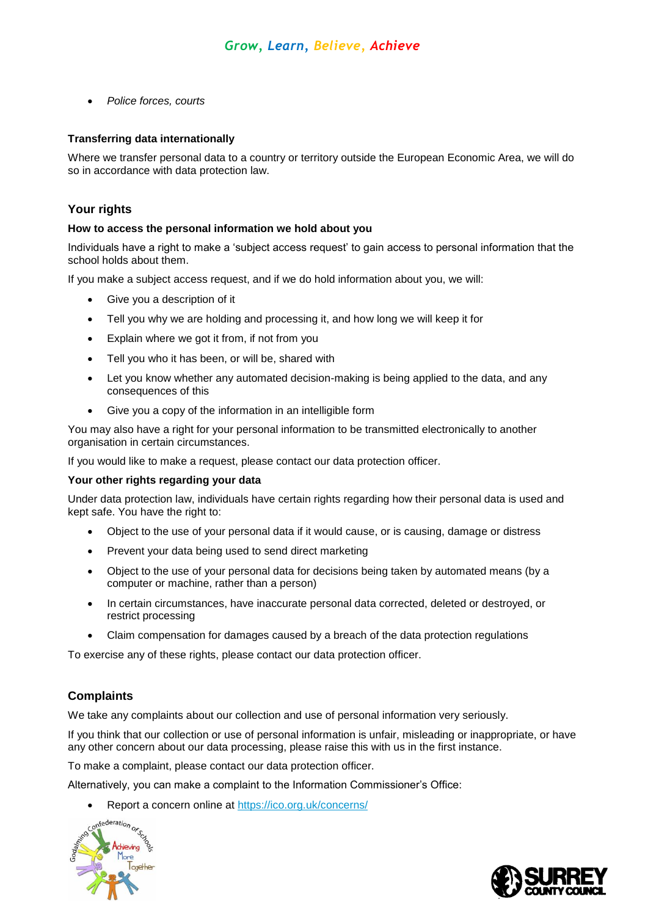*Police forces, courts*

#### **Transferring data internationally**

Where we transfer personal data to a country or territory outside the European Economic Area, we will do so in accordance with data protection law.

# **Your rights**

#### **How to access the personal information we hold about you**

Individuals have a right to make a 'subject access request' to gain access to personal information that the school holds about them.

If you make a subject access request, and if we do hold information about you, we will:

- Give you a description of it
- Tell you why we are holding and processing it, and how long we will keep it for
- Explain where we got it from, if not from you
- Tell you who it has been, or will be, shared with
- Let you know whether any automated decision-making is being applied to the data, and any consequences of this
- Give you a copy of the information in an intelligible form

You may also have a right for your personal information to be transmitted electronically to another organisation in certain circumstances.

If you would like to make a request, please contact our data protection officer.

#### **Your other rights regarding your data**

Under data protection law, individuals have certain rights regarding how their personal data is used and kept safe. You have the right to:

- Object to the use of your personal data if it would cause, or is causing, damage or distress
- Prevent your data being used to send direct marketing
- Object to the use of your personal data for decisions being taken by automated means (by a computer or machine, rather than a person)
- In certain circumstances, have inaccurate personal data corrected, deleted or destroyed, or restrict processing
- Claim compensation for damages caused by a breach of the data protection regulations

To exercise any of these rights, please contact our data protection officer.

# **Complaints**

We take any complaints about our collection and use of personal information very seriously.

If you think that our collection or use of personal information is unfair, misleading or inappropriate, or have any other concern about our data processing, please raise this with us in the first instance.

To make a complaint, please contact our data protection officer.

Alternatively, you can make a complaint to the Information Commissioner's Office:

Report a concern online at <u>https://ico.org.uk/concerns/</u><br> $cos^{\text{dederation}}_{\alpha_{\mathcal{F}_{\mathcal{L}}}}$